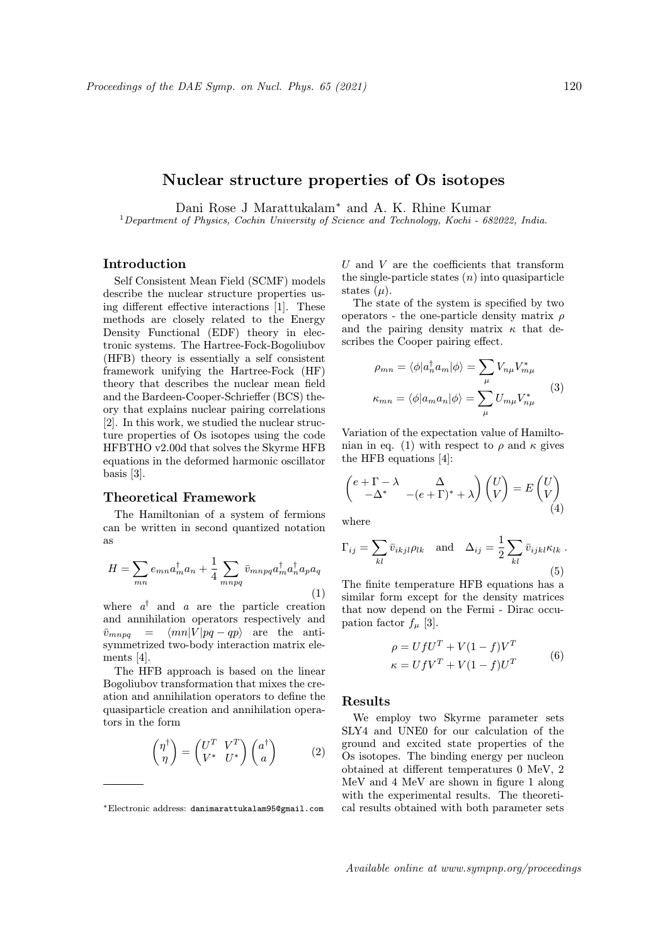# Nuclear structure properties of Os isotopes

Dani Rose J Marattukalam<sup>\*</sup> and A. K. Rhine Kumar <sup>1</sup>Department of Physics, Cochin University of Science and Technology, Kochi - 682022, India.

# Introduction

Self Consistent Mean Field (SCMF) models describe the nuclear structure properties using different effective interactions [1]. These methods are closely related to the Energy Density Functional (EDF) theory in electronic systems. The Hartree-Fock-Bogoliubov (HFB) theory is essentially a self consistent framework unifying the Hartree-Fock (HF) theory that describes the nuclear mean field and the Bardeen-Cooper-Schrieffer (BCS) theory that explains nuclear pairing correlations [2]. In this work, we studied the nuclear structure properties of Os isotopes using the code HFBTHO v2.00d that solves the Skyrme HFB equations in the deformed harmonic oscillator basis [3].

### Theoretical Framework

The Hamiltonian of a system of fermions can be written in second quantized notation as

$$
H = \sum_{mn} e_{mn} a_m^{\dagger} a_n + \frac{1}{4} \sum_{mnpq} \bar{v}_{mnpq} a_m^{\dagger} a_n^{\dagger} a_p a_q
$$
\n(1)

where  $a^{\dagger}$  and a are the particle creation and annihilation operators respectively and  $\bar{v}_{mnpq} = \langle mn|V|pq - qp\rangle$  are the antisymmetrized two-body interaction matrix elements [4].

The HFB approach is based on the linear Bogoliubov transformation that mixes the creation and annihilation operators to define the quasiparticle creation and annihilation operators in the form

$$
\begin{pmatrix} \eta^{\dagger} \\ \eta \end{pmatrix} = \begin{pmatrix} U^T & V^T \\ V^* & U^* \end{pmatrix} \begin{pmatrix} a^{\dagger} \\ a \end{pmatrix} \tag{2}
$$

 $U$  and  $V$  are the coefficients that transform the single-particle states  $(n)$  into quasiparticle states  $(\mu)$ .

The state of the system is specified by two operators - the one-particle density matrix  $\rho$ and the pairing density matrix  $\kappa$  that describes the Cooper pairing effect.

$$
\rho_{mn} = \langle \phi | a_n^{\dagger} a_m | \phi \rangle = \sum_{\mu} V_{n\mu} V_{m\mu}^*
$$
  

$$
\kappa_{mn} = \langle \phi | a_m a_n | \phi \rangle = \sum_{\mu} U_{m\mu} V_{n\mu}^*
$$
 (3)

Variation of the expectation value of Hamiltonian in eq. (1) with respect to  $\rho$  and  $\kappa$  gives the HFB equations [4]:

$$
\begin{pmatrix} e + \Gamma - \lambda & \Delta \\ -\Delta^* & -(e + \Gamma)^* + \lambda \end{pmatrix} \begin{pmatrix} U \\ V \end{pmatrix} = E \begin{pmatrix} U \\ V \end{pmatrix}
$$
(4)

where

$$
\Gamma_{ij} = \sum_{kl} \bar{v}_{ikjl} \rho_{lk} \quad \text{and} \quad \Delta_{ij} = \frac{1}{2} \sum_{kl} \bar{v}_{ijkl} \kappa_{lk} \tag{5}
$$

The finite temperature HFB equations has a similar form except for the density matrices that now depend on the Fermi - Dirac occupation factor  $f_{\mu}$  [3].

$$
\rho = UfU^T + V(1 - f)V^T
$$
  
\n
$$
\kappa = UfV^T + V(1 - f)U^T
$$
 (6)

#### Results

We employ two Skyrme parameter sets SLY4 and UNE0 for our calculation of the ground and excited state properties of the Os isotopes. The binding energy per nucleon obtained at different temperatures 0 MeV, 2 MeV and 4 MeV are shown in figure 1 along with the experimental results. The theoretical results obtained with both parameter sets

<sup>∗</sup>Electronic address: danimarattukalam95@gmail.com